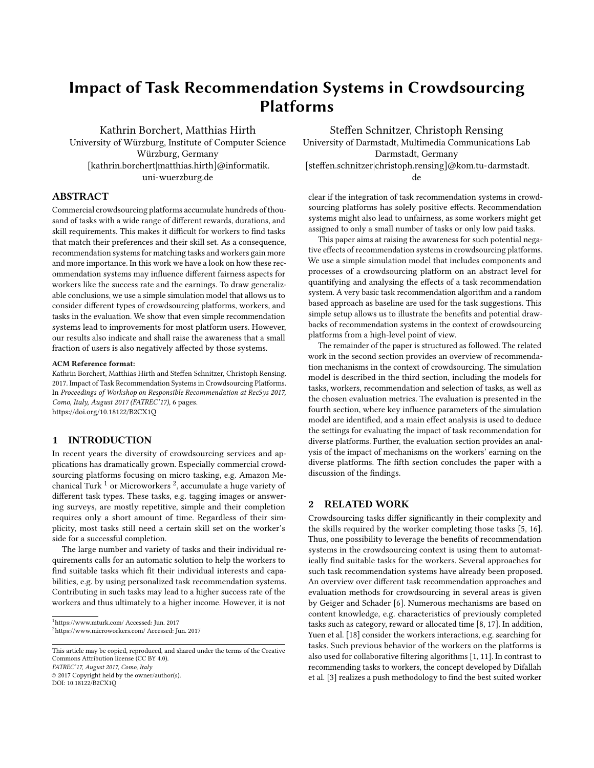# Impact of Task Recommendation Systems in Crowdsourcing Platforms

Kathrin Borchert, Matthias Hirth University of Würzburg, Institute of Computer Science Würzburg, Germany [kathrin.borchert|matthias.hirth]@informatik. uni-wuerzburg.de

ABSTRACT

Commercial crowdsourcing platforms accumulate hundreds of thousand of tasks with a wide range of different rewards, durations, and skill requirements. This makes it difficult for workers to find tasks that match their preferences and their skill set. As a consequence, recommendation systems for matching tasks and workers gain more and more importance. In this work we have a look on how these recommendation systems may influence different fairness aspects for workers like the success rate and the earnings. To draw generalizable conclusions, we use a simple simulation model that allows us to consider different types of crowdsourcing platforms, workers, and tasks in the evaluation. We show that even simple recommendation systems lead to improvements for most platform users. However, our results also indicate and shall raise the awareness that a small fraction of users is also negatively affected by those systems.

#### ACM Reference format:

Kathrin Borchert, Matthias Hirth and Steffen Schnitzer, Christoph Rensing. 2017. Impact of Task Recommendation Systems in Crowdsourcing Platforms. In Proceedings of Workshop on Responsible Recommendation at RecSys 2017, Como, Italy, August 2017 (FATREC'17), [6](#page-5-0) pages. <https://doi.org/10.18122/B2CX1Q>

## 1 INTRODUCTION

In recent years the diversity of crowdsourcing services and applications has dramatically grown. Especially commercial crowdsourcing platforms focusing on micro tasking, e.g. Amazon Mechanical Turk  $^1$  $^1$  or Microworkers  $^2$  $^2$ , accumulate a huge variety of different task types. These tasks, e.g. tagging images or answering surveys, are mostly repetitive, simple and their completion requires only a short amount of time. Regardless of their simplicity, most tasks still need a certain skill set on the worker's side for a successful completion.

The large number and variety of tasks and their individual requirements calls for an automatic solution to help the workers to find suitable tasks which fit their individual interests and capabilities, e.g. by using personalized task recommendation systems. Contributing in such tasks may lead to a higher success rate of the workers and thus ultimately to a higher income. However, it is not

<span id="page-0-1"></span><span id="page-0-0"></span><sup>1</sup><https://www.mturk.com/> Accessed: Jun. 2017 <sup>2</sup><https://www.microworkers.com/> Accessed: Jun. 2017

This article may be copied, reproduced, and shared under the terms of the Creative Commons Attribution license (CC BY 4.0). FATREC'17, August 2017, Como, Italy

© 2017 Copyright held by the owner/author(s).

DOI: 10.18122/B2CX1Q

Steffen Schnitzer, Christoph Rensing

University of Darmstadt, Multimedia Communications Lab Darmstadt, Germany [steffen.schnitzer|christoph.rensing]@kom.tu-darmstadt. de

clear if the integration of task recommendation systems in crowdsourcing platforms has solely positive effects. Recommendation systems might also lead to unfairness, as some workers might get assigned to only a small number of tasks or only low paid tasks.

This paper aims at raising the awareness for such potential negative effects of recommendation systems in crowdsourcing platforms. We use a simple simulation model that includes components and processes of a crowdsourcing platform on an abstract level for quantifying and analysing the effects of a task recommendation system. A very basic task recommendation algorithm and a random based approach as baseline are used for the task suggestions. This simple setup allows us to illustrate the benefits and potential drawbacks of recommendation systems in the context of crowdsourcing platforms from a high-level point of view.

The remainder of the paper is structured as followed. The related work in the second section provides an overview of recommendation mechanisms in the context of crowdsourcing. The simulation model is described in the third section, including the models for tasks, workers, recommendation and selection of tasks, as well as the chosen evaluation metrics. The evaluation is presented in the fourth section, where key influence parameters of the simulation model are identified, and a main effect analysis is used to deduce the settings for evaluating the impact of task recommendation for diverse platforms. Further, the evaluation section provides an analysis of the impact of mechanisms on the workers' earning on the diverse platforms. The fifth section concludes the paper with a discussion of the findings.

# 2 RELATED WORK

Crowdsourcing tasks differ significantly in their complexity and the skills required by the worker completing those tasks [\[5,](#page-5-1) [16\]](#page-5-2). Thus, one possibility to leverage the benefits of recommendation systems in the crowdsourcing context is using them to automatically find suitable tasks for the workers. Several approaches for such task recommendation systems have already been proposed. An overview over different task recommendation approaches and evaluation methods for crowdsourcing in several areas is given by Geiger and Schader [\[6\]](#page-5-3). Numerous mechanisms are based on content knowledge, e.g. characteristics of previously completed tasks such as category, reward or allocated time [\[8,](#page-5-4) [17\]](#page-5-5). In addition, Yuen et al. [\[18\]](#page-5-6) consider the workers interactions, e.g. searching for tasks. Such previous behavior of the workers on the platforms is also used for collaborative filtering algorithms [\[1,](#page-5-7) [11\]](#page-5-8). In contrast to recommending tasks to workers, the concept developed by Difallah et al. [\[3\]](#page-5-9) realizes a push methodology to find the best suited worker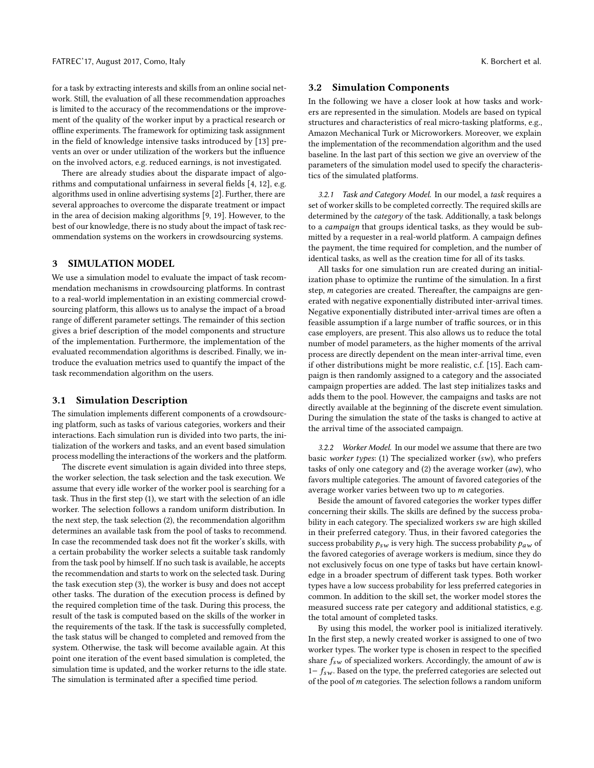for a task by extracting interests and skills from an online social network. Still, the evaluation of all these recommendation approaches is limited to the accuracy of the recommendations or the improvement of the quality of the worker input by a practical research or offline experiments. The framework for optimizing task assignment in the field of knowledge intensive tasks introduced by [\[13\]](#page-5-10) prevents an over or under utilization of the workers but the influence on the involved actors, e.g. reduced earnings, is not investigated.

There are already studies about the disparate impact of algorithms and computational unfairness in several fields [\[4,](#page-5-11) [12\]](#page-5-12), e.g. algorithms used in online advertising systems [\[2\]](#page-5-13). Further, there are several approaches to overcome the disparate treatment or impact in the area of decision making algorithms [\[9,](#page-5-14) [19\]](#page-5-15). However, to the best of our knowledge, there is no study about the impact of task recommendation systems on the workers in crowdsourcing systems.

#### 3 SIMULATION MODEL

We use a simulation model to evaluate the impact of task recommendation mechanisms in crowdsourcing platforms. In contrast to a real-world implementation in an existing commercial crowdsourcing platform, this allows us to analyse the impact of a broad range of different parameter settings. The remainder of this section gives a brief description of the model components and structure of the implementation. Furthermore, the implementation of the evaluated recommendation algorithms is described. Finally, we introduce the evaluation metrics used to quantify the impact of the task recommendation algorithm on the users.

## 3.1 Simulation Description

The simulation implements different components of a crowdsourcing platform, such as tasks of various categories, workers and their interactions. Each simulation run is divided into two parts, the initialization of the workers and tasks, and an event based simulation process modelling the interactions of the workers and the platform.

The discrete event simulation is again divided into three steps, the worker selection, the task selection and the task execution. We assume that every idle worker of the worker pool is searching for a task. Thus in the first step (1), we start with the selection of an idle worker. The selection follows a random uniform distribution. In the next step, the task selection (2), the recommendation algorithm determines an available task from the pool of tasks to recommend. In case the recommended task does not fit the worker's skills, with a certain probability the worker selects a suitable task randomly from the task pool by himself. If no such task is available, he accepts the recommendation and starts to work on the selected task. During the task execution step (3), the worker is busy and does not accept other tasks. The duration of the execution process is defined by the required completion time of the task. During this process, the result of the task is computed based on the skills of the worker in the requirements of the task. If the task is successfully completed, the task status will be changed to completed and removed from the system. Otherwise, the task will become available again. At this point one iteration of the event based simulation is completed, the simulation time is updated, and the worker returns to the idle state. The simulation is terminated after a specified time period.

#### 3.2 Simulation Components

In the following we have a closer look at how tasks and workers are represented in the simulation. Models are based on typical structures and characteristics of real micro-tasking platforms, e.g., Amazon Mechanical Turk or Microworkers. Moreover, we explain the implementation of the recommendation algorithm and the used baseline. In the last part of this section we give an overview of the parameters of the simulation model used to specify the characteristics of the simulated platforms.

3.2.1 Task and Category Model. In our model, a task requires a set of worker skills to be completed correctly. The required skills are determined by the category of the task. Additionally, a task belongs to a campaign that groups identical tasks, as they would be submitted by a requester in a real-world platform. A campaign defines the payment, the time required for completion, and the number of identical tasks, as well as the creation time for all of its tasks.

All tasks for one simulation run are created during an initialization phase to optimize the runtime of the simulation. In a first step, m categories are created. Thereafter, the campaigns are generated with negative exponentially distributed inter-arrival times. Negative exponentially distributed inter-arrival times are often a feasible assumption if a large number of traffic sources, or in this case employers, are present. This also allows us to reduce the total number of model parameters, as the higher moments of the arrival process are directly dependent on the mean inter-arrival time, even if other distributions might be more realistic, c.f. [\[15\]](#page-5-16). Each campaign is then randomly assigned to a category and the associated campaign properties are added. The last step initializes tasks and adds them to the pool. However, the campaigns and tasks are not directly available at the beginning of the discrete event simulation. During the simulation the state of the tasks is changed to active at the arrival time of the associated campaign.

3.2.2 Worker Model. In our model we assume that there are two basic worker types: (1) The specialized worker  $(sw)$ , who prefers tasks of only one category and (2) the average worker (aw), who favors multiple categories. The amount of favored categories of the average worker varies between two up to m categories.

Beside the amount of favored categories the worker types differ concerning their skills. The skills are defined by the success probability in each category. The specialized workers sw are high skilled in their preferred category. Thus, in their favored categories the success probability  $p_{sw}$  is very high. The success probability  $p_{aw}$  of the favored categories of average workers is medium, since they do not exclusively focus on one type of tasks but have certain knowledge in a broader spectrum of different task types. Both worker types have a low success probability for less preferred categories in common. In addition to the skill set, the worker model stores the measured success rate per category and additional statistics, e.g. the total amount of completed tasks.

By using this model, the worker pool is initialized iteratively. In the first step, a newly created worker is assigned to one of two worker types. The worker type is chosen in respect to the specified share  $f_{sw}$  of specialized workers. Accordingly, the amount of aw is  $1-f_{sw}$ . Based on the type, the preferred categories are selected out of the pool of  $m$  categories. The selection follows a random uniform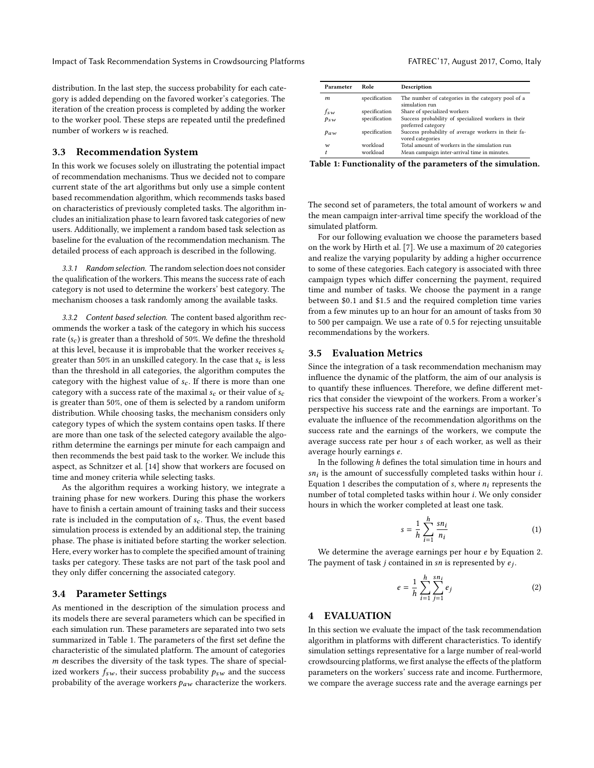distribution. In the last step, the success probability for each category is added depending on the favored worker's categories. The iteration of the creation process is completed by adding the worker to the worker pool. These steps are repeated until the predefined number of workers w is reached.

#### 3.3 Recommendation System

In this work we focuses solely on illustrating the potential impact of recommendation mechanisms. Thus we decided not to compare current state of the art algorithms but only use a simple content based recommendation algorithm, which recommends tasks based on characteristics of previously completed tasks. The algorithm includes an initialization phase to learn favored task categories of new users. Additionally, we implement a random based task selection as baseline for the evaluation of the recommendation mechanism. The detailed process of each approach is described in the following.

3.3.1 Random selection. The random selection does not consider the qualification of the workers. This means the success rate of each category is not used to determine the workers' best category. The mechanism chooses a task randomly among the available tasks.

3.3.2 Content based selection. The content based algorithm recommends the worker a task of the category in which his success rate  $(s_c)$  is greater than a threshold of 50%. We define the threshold at this level, because it is improbable that the worker receives  $s_c$ greater than 50% in an unskilled category. In the case that  $s_c$  is less than the threshold in all categories, the algorithm computes the category with the highest value of  $s_c$ . If there is more than one category with a success rate of the maximal  $s_c$  or their value of  $s_c$ is greater than 50%, one of them is selected by a random uniform distribution. While choosing tasks, the mechanism considers only category types of which the system contains open tasks. If there are more than one task of the selected category available the algorithm determine the earnings per minute for each campaign and then recommends the best paid task to the worker. We include this aspect, as Schnitzer et al. [\[14\]](#page-5-17) show that workers are focused on time and money criteria while selecting tasks.

As the algorithm requires a working history, we integrate a training phase for new workers. During this phase the workers have to finish a certain amount of training tasks and their success rate is included in the computation of  $s_c$ . Thus, the event based simulation process is extended by an additional step, the training phase. The phase is initiated before starting the worker selection. Here, every worker has to complete the specified amount of training tasks per category. These tasks are not part of the task pool and they only differ concerning the associated category.

# 3.4 Parameter Settings

As mentioned in the description of the simulation process and its models there are several parameters which can be specified in each simulation run. These parameters are separated into two sets summarized in Table [1.](#page-2-0) The parameters of the first set define the characteristic of the simulated platform. The amount of categories m describes the diversity of the task types. The share of specialized workers  $f_{sw}$ , their success probability  $p_{sw}$  and the success probability of the average workers  $p_{aw}$  characterize the workers.

<span id="page-2-0"></span>

| Parameter | Role          | Description                                                               |
|-----------|---------------|---------------------------------------------------------------------------|
| m         | specification | The number of categories in the category pool of a<br>simulation run      |
| $f_{sw}$  | specification | Share of specialized workers                                              |
| $p_{sw}$  | specification | Success probability of specialized workers in their<br>preferred category |
| $p_{aw}$  | specification | Success probability of average workers in their fa-<br>vored categories   |
| w         | workload      | Total amount of workers in the simulation run                             |
|           | workload      | Mean campaign inter-arrival time in minutes.                              |

Table 1: Functionality of the parameters of the simulation.

The second set of parameters, the total amount of workers  $w$  and the mean campaign inter-arrival time specify the workload of the simulated platform.

For our following evaluation we choose the parameters based on the work by Hirth et al. [\[7\]](#page-5-18). We use a maximum of 20 categories and realize the varying popularity by adding a higher occurrence to some of these categories. Each category is associated with three campaign types which differ concerning the payment, required time and number of tasks. We choose the payment in a range between \$0.<sup>1</sup> and \$1.<sup>5</sup> and the required completion time varies from a few minutes up to an hour for an amount of tasks from 30 to <sup>500</sup> per campaign. We use a rate of <sup>0</sup>.<sup>5</sup> for rejecting unsuitable recommendations by the workers.

## 3.5 Evaluation Metrics

Since the integration of a task recommendation mechanism may influence the dynamic of the platform, the aim of our analysis is to quantify these influences. Therefore, we define different metrics that consider the viewpoint of the workers. From a worker's perspective his success rate and the earnings are important. To evaluate the influence of the recommendation algorithms on the success rate and the earnings of the workers, we compute the average success rate per hour s of each worker, as well as their average hourly earnings e.

In the following  $h$  defines the total simulation time in hours and  $sn<sub>i</sub>$  is the amount of successfully completed tasks within hour *i*. Equation [1](#page-2-1) describes the computation of s, where  $n_i$  represents the number of total completed tasks within hour i. We only consider hours in which the worker completed at least one task.

<span id="page-2-1"></span>
$$
s = \frac{1}{h} \sum_{i=1}^{h} \frac{s n_i}{n_i} \tag{1}
$$

We determine the average earnings per hour e by Equation [2.](#page-2-2) The payment of task  $j$  contained in  $sn$  is represented by  $e_j$ .

<span id="page-2-2"></span>
$$
e = \frac{1}{h} \sum_{i=1}^{h} \sum_{j=1}^{sn_i} e_j
$$
 (2)

# 4 EVALUATION

In this section we evaluate the impact of the task recommendation algorithm in platforms with different characteristics. To identify simulation settings representative for a large number of real-world crowdsourcing platforms, we first analyse the effects of the platform parameters on the workers' success rate and income. Furthermore, we compare the average success rate and the average earnings per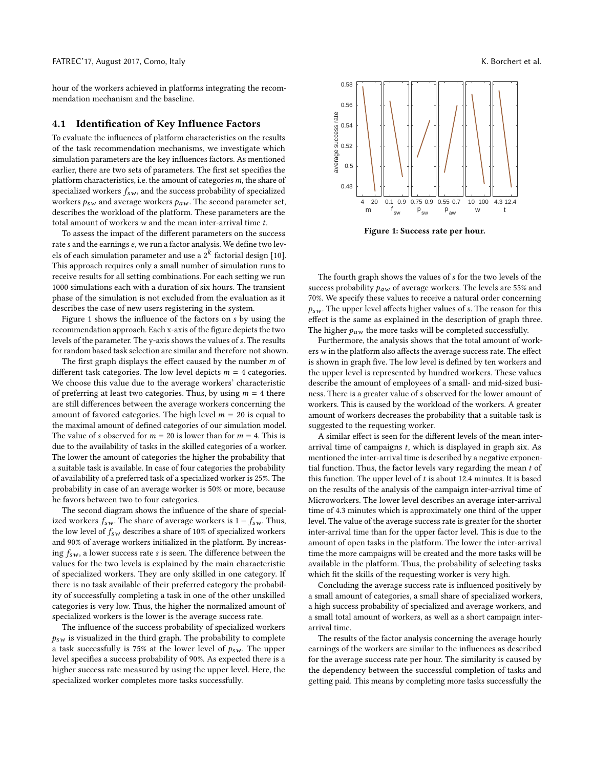hour of the workers achieved in platforms integrating the recommendation mechanism and the baseline.

## 4.1 Identification of Key Influence Factors

To evaluate the influences of platform characteristics on the results of the task recommendation mechanisms, we investigate which simulation parameters are the key influences factors. As mentioned earlier, there are two sets of parameters. The first set specifies the platform characteristics, i.e. the amount of categories  $m$ , the share of specialized workers  $f_{sw}$ , and the success probability of specialized workers  $p_{sw}$  and average workers  $p_{aw}$ . The second parameter set, describes the workload of the platform. These parameters are the total amount of workers w and the mean inter-arrival time t.

To assess the impact of the different parameters on the success rate s and the earnings e, we run a factor analysis. We define two levels of each simulation parameter and use a  $2^k$  factorial design [\[10\]](#page-5-19). This approach requires only a small number of simulation runs to receive results for all setting combinations. For each setting we run 1000 simulations each with a duration of six hours. The transient phase of the simulation is not excluded from the evaluation as it describes the case of new users registering in the system.

Figure [1](#page-3-0) shows the influence of the factors on s by using the recommendation approach. Each x-axis of the figure depicts the two levels of the parameter. The y-axis shows the values of s. The results for random based task selection are similar and therefore not shown.

The first graph displays the effect caused by the number  $m$  of different task categories. The low level depicts  $m = 4$  categories. We choose this value due to the average workers' characteristic of preferring at least two categories. Thus, by using  $m = 4$  there are still differences between the average workers concerning the amount of favored categories. The high level  $m = 20$  is equal to the maximal amount of defined categories of our simulation model. The value of s observed for  $m = 20$  is lower than for  $m = 4$ . This is due to the availability of tasks in the skilled categories of a worker. The lower the amount of categories the higher the probability that a suitable task is available. In case of four categories the probability of availability of a preferred task of a specialized worker is 25%. The probability in case of an average worker is 50% or more, because he favors between two to four categories.

The second diagram shows the influence of the share of specialized workers  $f_{sw}$ . The share of average workers is  $1 - f_{sw}$ . Thus, the low level of  $f_{sw}$  describes a share of 10% of specialized workers and 90% of average workers initialized in the platform. By increasing  $f_{sw}$ , a lower success rate s is seen. The difference between the values for the two levels is explained by the main characteristic of specialized workers. They are only skilled in one category. If there is no task available of their preferred category the probability of successfully completing a task in one of the other unskilled categories is very low. Thus, the higher the normalized amount of specialized workers is the lower is the average success rate.

The influence of the success probability of specialized workers  $p_{sw}$  is visualized in the third graph. The probability to complete a task successfully is 75% at the lower level of  $p_{sw}$ . The upper level specifies a success probability of 90%. As expected there is a higher success rate measured by using the upper level. Here, the specialized worker completes more tasks successfully.

<span id="page-3-0"></span>

Figure 1: Success rate per hour.

The fourth graph shows the values of s for the two levels of the success probability  $p_{aw}$  of average workers. The levels are 55% and 70%. We specify these values to receive a natural order concerning  $p_{sw}$ . The upper level affects higher values of s. The reason for this effect is the same as explained in the description of graph three. The higher  $p_{aw}$  the more tasks will be completed successfully.

Furthermore, the analysis shows that the total amount of workers  $w$  in the platform also affects the average success rate. The effect is shown in graph five. The low level is defined by ten workers and the upper level is represented by hundred workers. These values describe the amount of employees of a small- and mid-sized business. There is a greater value of s observed for the lower amount of workers. This is caused by the workload of the workers. A greater amount of workers decreases the probability that a suitable task is suggested to the requesting worker.

A similar effect is seen for the different levels of the mean interarrival time of campaigns  $t$ , which is displayed in graph six. As mentioned the inter-arrival time is described by a negative exponential function. Thus, the factor levels vary regarding the mean  $t$  of this function. The upper level of  $t$  is about 12.4 minutes. It is based on the results of the analysis of the campaign inter-arrival time of Microworkers. The lower level describes an average inter-arrival time of 4.3 minutes which is approximately one third of the upper level. The value of the average success rate is greater for the shorter inter-arrival time than for the upper factor level. This is due to the amount of open tasks in the platform. The lower the inter-arrival time the more campaigns will be created and the more tasks will be available in the platform. Thus, the probability of selecting tasks which fit the skills of the requesting worker is very high.

Concluding the average success rate is influenced positively by a small amount of categories, a small share of specialized workers, a high success probability of specialized and average workers, and a small total amount of workers, as well as a short campaign interarrival time.

The results of the factor analysis concerning the average hourly earnings of the workers are similar to the influences as described for the average success rate per hour. The similarity is caused by the dependency between the successful completion of tasks and getting paid. This means by completing more tasks successfully the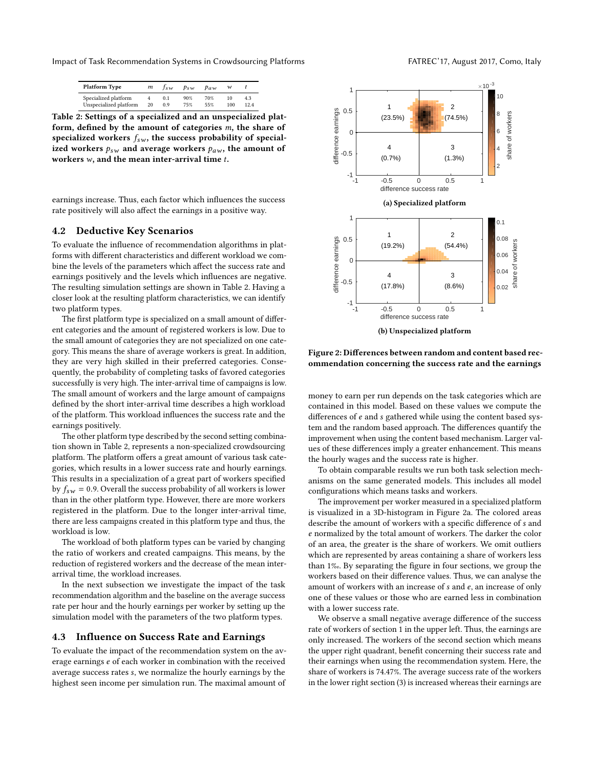<span id="page-4-0"></span>Impact of Task Recommendation Systems in Crowdsourcing Platforms FATREC'17, August 2017, Como, Italy

| Platform Type          | m  | $t_{sw}$ | $p_{SW}$ | $p_{aw}$ | w   |      |
|------------------------|----|----------|----------|----------|-----|------|
| Specialized platform   |    | 0.1      | 90%      | 70%      | 10  | 4.3  |
| Unspecialized platform | 20 | 0.9      | 75%      | 55%      | 100 | 12.4 |

Table 2: Settings of a specialized and an unspecialized platform, defined by the amount of categories m, the share of specialized workers  $f_{sw}$ , the success probability of specialized workers  $p_{sw}$  and average workers  $p_{aw}$ , the amount of workers  $w$ , and the mean inter-arrival time  $t$ .

earnings increase. Thus, each factor which influences the success rate positively will also affect the earnings in a positive way.

## 4.2 Deductive Key Scenarios

To evaluate the influence of recommendation algorithms in platforms with different characteristics and different workload we combine the levels of the parameters which affect the success rate and earnings positively and the levels which influences are negative. The resulting simulation settings are shown in Table [2.](#page-4-0) Having a closer look at the resulting platform characteristics, we can identify two platform types.

The first platform type is specialized on a small amount of different categories and the amount of registered workers is low. Due to the small amount of categories they are not specialized on one category. This means the share of average workers is great. In addition, they are very high skilled in their preferred categories. Consequently, the probability of completing tasks of favored categories successfully is very high. The inter-arrival time of campaigns is low. The small amount of workers and the large amount of campaigns defined by the short inter-arrival time describes a high workload of the platform. This workload influences the success rate and the earnings positively.

The other platform type described by the second setting combination shown in Table [2,](#page-4-0) represents a non-specialized crowdsourcing platform. The platform offers a great amount of various task categories, which results in a lower success rate and hourly earnings. This results in a specialization of a great part of workers specified by  $f_{sw} = 0.9$ . Overall the success probability of all workers is lower than in the other platform type. However, there are more workers registered in the platform. Due to the longer inter-arrival time, there are less campaigns created in this platform type and thus, the workload is low.

The workload of both platform types can be varied by changing the ratio of workers and created campaigns. This means, by the reduction of registered workers and the decrease of the mean interarrival time, the workload increases.

In the next subsection we investigate the impact of the task recommendation algorithm and the baseline on the average success rate per hour and the hourly earnings per worker by setting up the simulation model with the parameters of the two platform types.

#### 4.3 Influence on Success Rate and Earnings

To evaluate the impact of the recommendation system on the average earnings e of each worker in combination with the received average success rates s, we normalize the hourly earnings by the highest seen income per simulation run. The maximal amount of

<span id="page-4-1"></span>

Figure 2: Differences between random and content based recommendation concerning the success rate and the earnings

money to earn per run depends on the task categories which are contained in this model. Based on these values we compute the differences of  $e$  and  $s$  gathered while using the content based system and the random based approach. The differences quantify the improvement when using the content based mechanism. Larger values of these differences imply a greater enhancement. This means the hourly wages and the success rate is higher.

To obtain comparable results we run both task selection mechanisms on the same generated models. This includes all model configurations which means tasks and workers.

The improvement per worker measured in a specialized platform is visualized in a 3D-histogram in Figure [2a.](#page-4-1) The colored areas describe the amount of workers with a specific difference of s and e normalized by the total amount of workers. The darker the color of an area, the greater is the share of workers. We omit outliers which are represented by areas containing a share of workers less than 1%. By separating the figure in four sections, we group the workers based on their difference values. Thus, we can analyse the amount of workers with an increase of s and e, an increase of only one of these values or those who are earned less in combination with a lower success rate.

We observe a small negative average difference of the success rate of workers of section 1 in the upper left. Thus, the earnings are only increased. The workers of the second section which means the upper right quadrant, benefit concerning their success rate and their earnings when using the recommendation system. Here, the share of workers is 74.47%. The average success rate of the workers in the lower right section (3) is increased whereas their earnings are